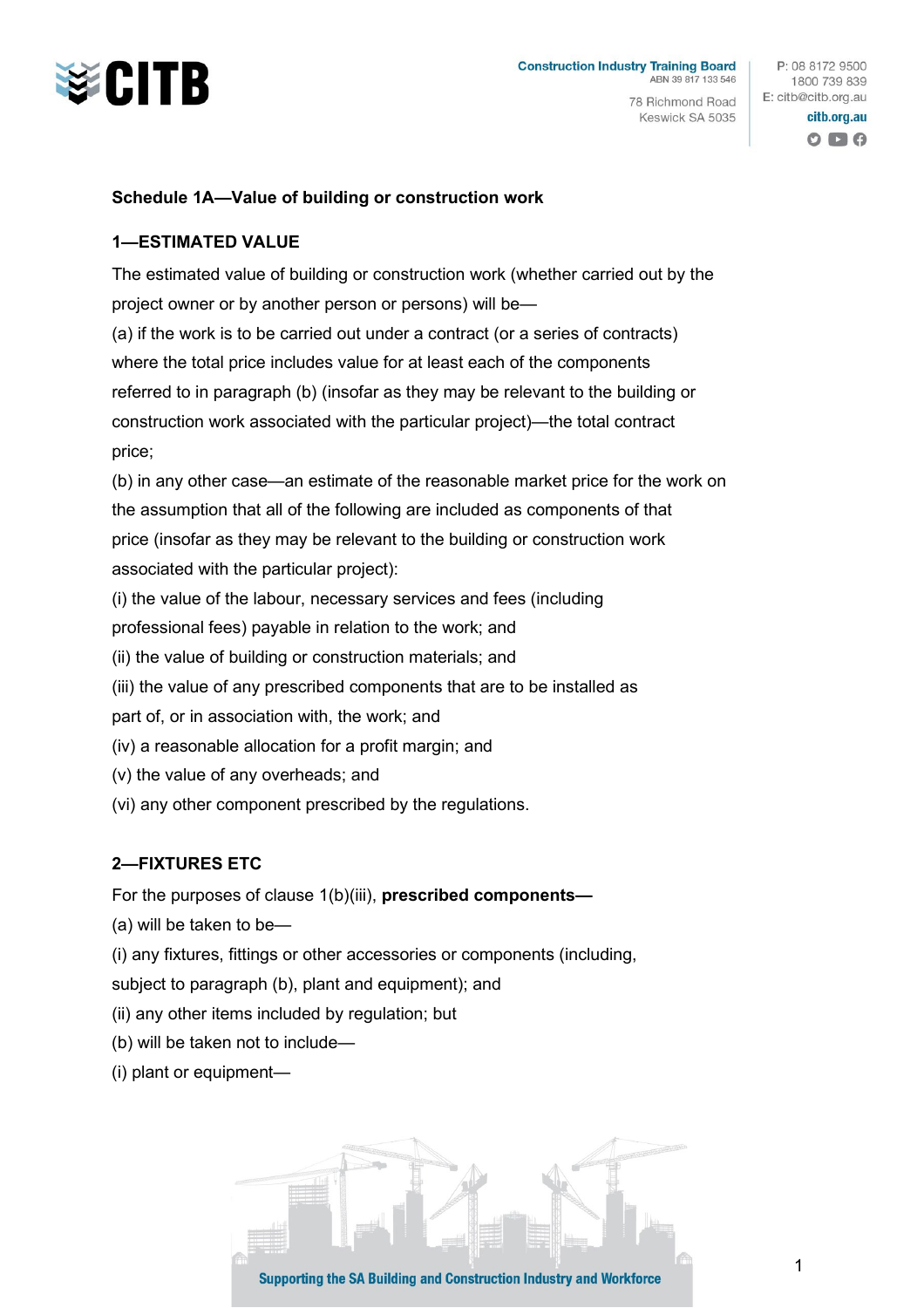

78 Richmond Road Keswick SA 5035

P: 08 8172 9500 1800 739 839 E: citb@citb.org.au

## citb.org.au  $O$   $\blacksquare$   $O$

## **Schedule 1A—Value of building or construction work**

## **1—ESTIMATED VALUE**

The estimated value of building or construction work (whether carried out by the project owner or by another person or persons) will be— (a) if the work is to be carried out under a contract (or a series of contracts) where the total price includes value for at least each of the components referred to in paragraph (b) (insofar as they may be relevant to the building or construction work associated with the particular project)—the total contract price;

(b) in any other case—an estimate of the reasonable market price for the work on the assumption that all of the following are included as components of that price (insofar as they may be relevant to the building or construction work associated with the particular project):

(i) the value of the labour, necessary services and fees (including

professional fees) payable in relation to the work; and

(ii) the value of building or construction materials; and

(iii) the value of any prescribed components that are to be installed as

part of, or in association with, the work; and

- (iv) a reasonable allocation for a profit margin; and
- (v) the value of any overheads; and
- (vi) any other component prescribed by the regulations.

## **2—FIXTURES ETC**

For the purposes of clause 1(b)(iii), **prescribed components—**

(a) will be taken to be—

(i) any fixtures, fittings or other accessories or components (including,

subject to paragraph (b), plant and equipment); and

(ii) any other items included by regulation; but

- (b) will be taken not to include—
- (i) plant or equipment—